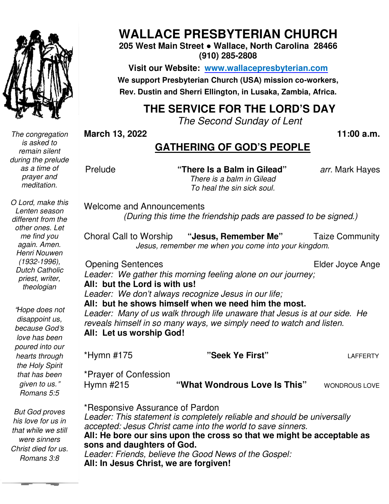

*The congregation is asked to remain silent during the prelude as a time of prayer and meditation.* 

*O Lord, make this Lenten season different from the other ones. Let me find you again. Amen. Henri Nouwen (1932-1996), Dutch Catholic priest, writer, theologian* 

"*Hope does not disappoint us, because God*'*s love has been poured into our hearts through the Holy Spirit that has been given to us.*" *Romans 5:5* 

 *were sinners But God proves his love for us in that while we still Christ died for us. Romans 3:8* 

## **WALLACE PRESBYTERIAN CHURCH**

**205 West Main Street ● Wallace, North Carolina 28466 (910) 285-2808** 

**Visit our Website: www.wallacepresbyterian.com** We support Presbyterian Church (USA) mission co-workers, **Rev. Dustin and Sherri Ellington, in Lusaka, Sherri Ellington, Lusaka, Zambia, Africa.** 

### **THE SERVICE FOR THE LORD'S DAY**

*The Second Sunday of Lent* 

**March 13, 2022** 

 **11:00 a.m.**

### **GATHERING OF GOD'S PEOPLE**

Prelude

 **"There Is a Balm in Gilead"** *arr.* Mark Hayes *There is a balm in Gilead To heal the sin sick soul.* 

Welcome and Announcements *(During this time the friendship pads are passed to be signed.)* and Announcements<br>*(During this time the friendship pads are passed to be signed.)*<br>Il to Worship "**Jesus, Remember Me**" Taize Communit

Choral Call to Worship *Jesus, remember me when you come into your kingdom when you kingdom.* 

Opening Sentences

Elder Joyce Ange

*Leader: We gather this morning feeling alone on our journey;* **All: but the Lord is with us!**

*Leader: We don't always recognize Jesus in our life;*

**All: but he shows himself when we need him the most.**  *Leader: Many of us walk through life unaware that Jesus is at our side. He Leader: We don't always recognize Jesus in our life;*<br>**All: but he shows himself when we need him the most.**<br>*Leader: Many of us walk through life unaware that Jesus is at our siden.*<br>reveals himself in so many ways, we s

**All: Let us worship God!**

\*Hymn #175 \*Prayer of Confession Hymn #215 **"What Wondrous Love Is This" "Seek Ye First"** LAFFERTY **Is This"** WONDROUS LOVE

\*Responsive Assurance of Assurance of Pardon *Leader: This statement is completely reliable and should be universally accepted: Jesus Christ came into the world to save sinners.* **All: He bore our sins upon the cross so that we might be acceptable as that be sons and daughters of God.**  *Leader: Friends, believe the Good News of the Gospel:*  **All: In Jesus Christ, we are forgiven!** Call to Worship "Jesus, Remember Me" Taize Community<br>
Jesus, remember me when you come into your kingdom.<br> *is We gather this morning feeling alone on our journey;*<br> *it the Lord is with us!*<br> *if the Lord is with us!*<br> *i*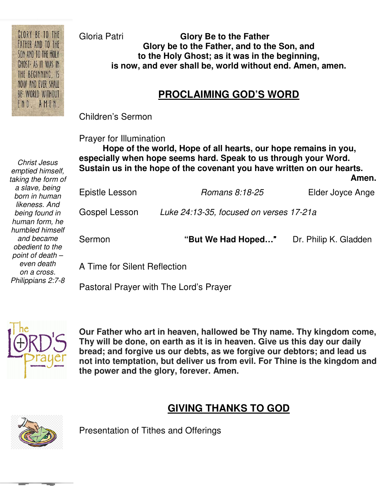Gloria Patri **Glory Be to the Father Glory be to the Father, and to the Son, and to the Holy Ghost; as it was in the beginning, is now, and ever shall be, world without end. Amen, amen.** 

### **PROCLAIMING GOD'S WORD**

Children's Sermon

Prayer for Illumination

 **Sustain us in the hope of the covenant you have written on our hearts.**  Amen.  **Hope of the world, Hope of all hearts, our hope remains in you, especially when hope seems hard. Speak to us through your Word.**  *Amen.* American contract the contract of  $\mathbb{A}$ 

| Sermon         | "But We Had Hoped"                      | Dr. Philip K. Gladden |
|----------------|-----------------------------------------|-----------------------|
| Gospel Lesson  | Luke 24:13-35, focused on verses 17-21a |                       |
| Epistle Lesson | Romans 8:18-25                          | Elder Joyce Ange      |

A Time for Silent Reflection

Pastoral Prayer with The Lord's Prayer



**Our Father who art in heaven, hallowed be Thy name. Thy kingdom come, Thy will be done, on earth as it is in heaven. Give us this day our daily bread; and forgive us our debts, as we forgive our debtors; and lead us not into temptation, but deliver us from evil. For Thine is the kingdom and the power and the glory, forever. Amen.** 

### **GIVING THANKS TO GOD**



Presentation of Tithes and Offerings

 *humbled himself Christ Jesus emptied himself, taking the form of a slave, being born in human likeness. And being found in human form, he and became obedient to the point of death – even death on a cross. Philippians 2:7-8* 

CLORY BE TO THE FATHER AND TO THE SON AND TO THE HOLY CHOST<sup>;</sup> AS IT WAS IN THE BEGINNING, IS NOW AND EVER SHALL BE: WORLD WITHOUT END. AMEN.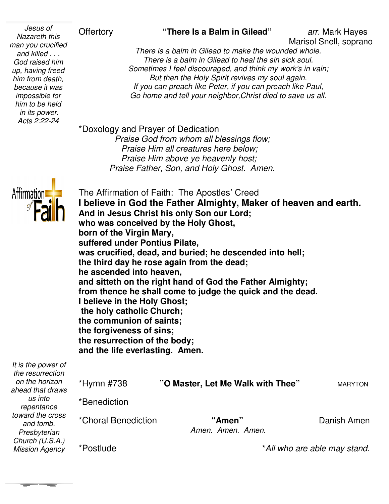#### *up, having freed Jesus of Nazareth this man you crucified and killed . . . God raised him him from death, because it was impossible for him to be held in its power. Acts 2:22-24*

### Offertory **"There Is a Balm in Gilead"**

Marisol Snell, soprano Marisol

*There is a balm in Gilead to make the wounded whole. There is a balm in Gilead to heal the sin sick soul. There is a balm in Gilead to heal the sin sick soul.*<br>*Sometimes I feel discouraged, and think my work's in vain; But then the Holy Spirit revives my soul again. If you can preach like Peter, if you can preach like Paul,* Go home and tell your neighbor, Christ died to save us all. *is*<br> *arr.* Mark Hayes<br> *fied*<br> *There is a balm in Gilead to make the wounded whole.*<br> *arr.* Mark Hayes<br> *Marisol Snell, sopran*<br> *arr.* Mark Hayes<br> *Alm in Gilead to heal the sin sick soul.*<br> *Sometimes I feel discoura* 

\*Doxology and Prayer of Dedication

 *Praise God from whom all blessings flow; Praise Him all creatures here below; Praise Him above ye heavenly host; Praise God from whom all blessings flow;<br>Praise Him all creatures here below;<br>Praise Him above ye heavenly host;<br>Praise Father, Son, and Holy Ghost. Amen.* 



*and tomb. Presbyterian Church (U.S.A.) Mission Agency* 

**The Company** 

| <b>Affirmation</b>                     | I believe in God the Father Almighty, Maker of heaven and earth.<br>And in Jesus Christ his only Son our Lord;<br>who was conceived by the Holy Ghost,<br>born of the Virgin Mary,<br>suffered under Pontius Pilate,<br>was crucified, dead, and buried; he descended into hell;<br>the third day he rose again from the dead;<br>he ascended into heaven,<br>and sitteth on the right hand of God the Father Almighty;<br>from thence he shall come to judge the quick and the dead.<br>I believe in the Holy Ghost;<br>the holy catholic Church;<br>the communion of saints;<br>the forgiveness of sins;<br>the resurrection of the body;<br>and the life everlasting. Amen. |                                   |                |  |  |
|----------------------------------------|--------------------------------------------------------------------------------------------------------------------------------------------------------------------------------------------------------------------------------------------------------------------------------------------------------------------------------------------------------------------------------------------------------------------------------------------------------------------------------------------------------------------------------------------------------------------------------------------------------------------------------------------------------------------------------|-----------------------------------|----------------|--|--|
| It is the power of<br>the resurrection |                                                                                                                                                                                                                                                                                                                                                                                                                                                                                                                                                                                                                                                                                |                                   |                |  |  |
| on the horizon<br>ahead that draws     | *Hymn #738                                                                                                                                                                                                                                                                                                                                                                                                                                                                                                                                                                                                                                                                     | "O Master, Let Me Walk with Thee" | <b>MARYTON</b> |  |  |
| us into<br>repentance                  | *Benediction                                                                                                                                                                                                                                                                                                                                                                                                                                                                                                                                                                                                                                                                   |                                   |                |  |  |
| toward the cross<br>and tomb           | *Choral Benediction                                                                                                                                                                                                                                                                                                                                                                                                                                                                                                                                                                                                                                                            | "Amen"                            | Danish Amen    |  |  |

*Amen. Amen. Amen.* 

\*Postlude

\**All who are able may stand.*